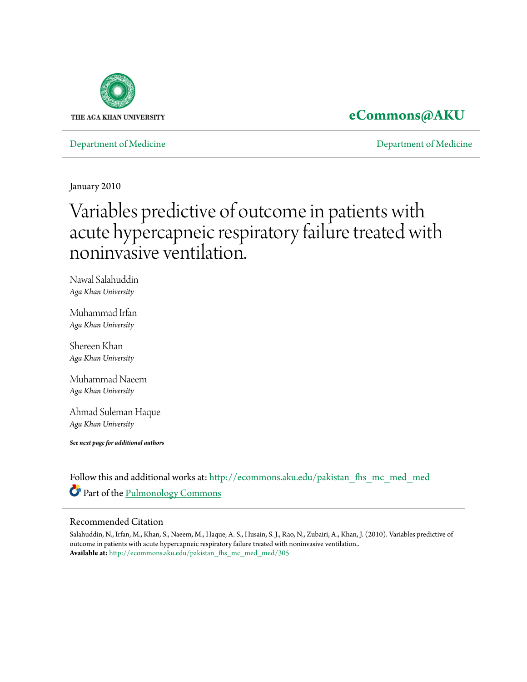

## **[eCommons@AKU](http://ecommons.aku.edu?utm_source=ecommons.aku.edu%2Fpakistan_fhs_mc_med_med%2F305&utm_medium=PDF&utm_campaign=PDFCoverPages)**

### [Department of Medicine](http://ecommons.aku.edu/pakistan_fhs_mc_med_med?utm_source=ecommons.aku.edu%2Fpakistan_fhs_mc_med_med%2F305&utm_medium=PDF&utm_campaign=PDFCoverPages) [Department of Medicine](http://ecommons.aku.edu/pakistan_fhs_mc_med?utm_source=ecommons.aku.edu%2Fpakistan_fhs_mc_med_med%2F305&utm_medium=PDF&utm_campaign=PDFCoverPages)

January 2010

# Variables predictive of outcome in patients with acute hypercapneic respiratory failure treated with noninvasive ventilation.

Nawal Salahuddin *Aga Khan University*

Muhammad Irfan *Aga Khan University*

Shereen Khan *Aga Khan University*

Muhammad Naeem *Aga Khan University*

Ahmad Suleman Haque *Aga Khan University*

*See next page for additional authors*

Follow this and additional works at: [http://ecommons.aku.edu/pakistan\\_fhs\\_mc\\_med\\_med](http://ecommons.aku.edu/pakistan_fhs_mc_med_med?utm_source=ecommons.aku.edu%2Fpakistan_fhs_mc_med_med%2F305&utm_medium=PDF&utm_campaign=PDFCoverPages) Part of the [Pulmonology Commons](http://network.bepress.com/hgg/discipline/1363?utm_source=ecommons.aku.edu%2Fpakistan_fhs_mc_med_med%2F305&utm_medium=PDF&utm_campaign=PDFCoverPages)

#### Recommended Citation

Salahuddin, N., Irfan, M., Khan, S., Naeem, M., Haque, A. S., Husain, S. J., Rao, N., Zubairi, A., Khan, J. (2010). Variables predictive of outcome in patients with acute hypercapneic respiratory failure treated with noninvasive ventilation.. **Available at:** [http://ecommons.aku.edu/pakistan\\_fhs\\_mc\\_med\\_med/305](http://ecommons.aku.edu/pakistan_fhs_mc_med_med/305)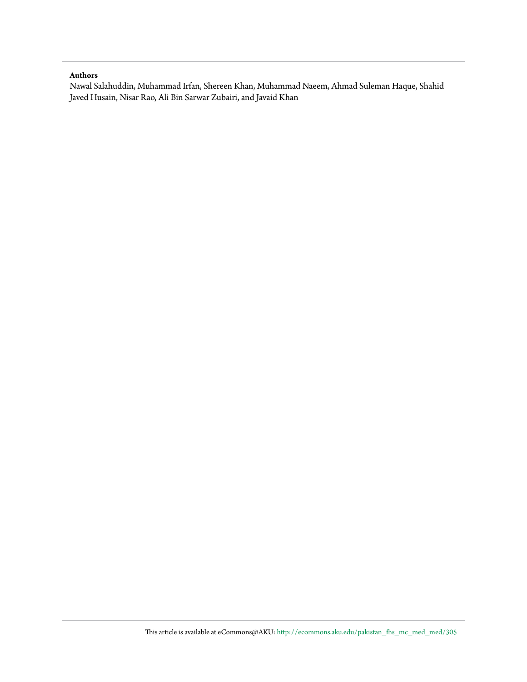#### **Authors**

Nawal Salahuddin, Muhammad Irfan, Shereen Khan, Muhammad Naeem, Ahmad Suleman Haque, Shahid Javed Husain, Nisar Rao, Ali Bin Sarwar Zubairi, and Javaid Khan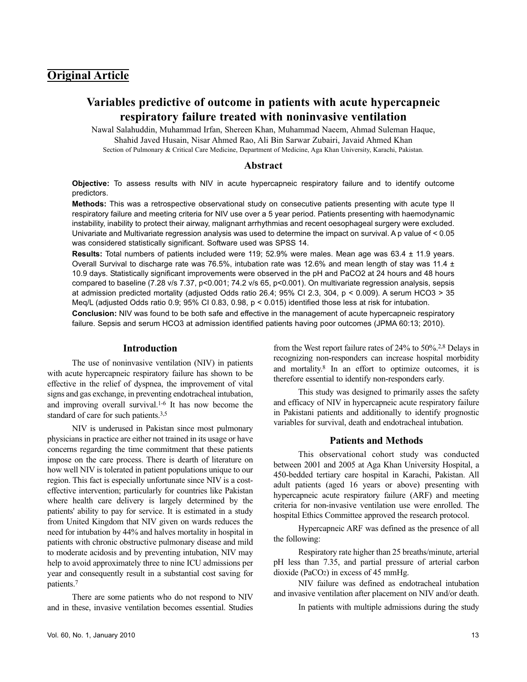## **Original Article**

## **Variables predictive of outcome in patients with acute hypercapneic respiratory failure treated with noninvasive ventilation**

Nawal Salahuddin, Muhammad Irfan, Shereen Khan, Muhammad Naeem, Ahmad Suleman Haque, Shahid Javed Husain, Nisar Ahmed Rao, Ali Bin Sarwar Zubairi, Javaid Ahmed Khan Section of Pulmonary & Critical Care Medicine, Department of Medicine, Aga Khan University, Karachi, Pakistan.

#### **Abstract**

**Objective:** To assess results with NIV in acute hypercapneic respiratory failure and to identify outcome predictors.

**Methods:** This was a retrospective observational study on consecutive patients presenting with acute type II respiratory failure and meeting criteria for NIV use over a 5 year period. Patients presenting with haemodynamic instability, inability to protect their airway, malignant arrhythmias and recent oesophageal surgery were excluded. Univariate and Multivariate regression analysis was used to determine the impact on survival. A p value of < 0.05 was considered statistically significant. Software used was SPSS 14.

**Results:** Total numbers of patients included were 119; 52.9% were males. Mean age was 63.4 ± 11.9 years. Overall Survival to discharge rate was 76.5%, intubation rate was 12.6% and mean length of stay was 11.4  $\pm$ 10.9 days. Statistically significant improvements were observed in the pH and PaCO2 at 24 hours and 48 hours compared to baseline (7.28 v/s 7.37, p<0.001; 74.2 v/s 65, p<0.001). On multivariate regression analysis, sepsis at admission predicted mortality (adjusted Odds ratio 26.4; 95% CI 2.3, 304, p < 0.009). A serum HCO3 > 35 Meq/L (adjusted Odds ratio 0.9; 95% CI 0.83, 0.98, p < 0.015) identified those less at risk for intubation.

**Conclusion:** NIV was found to be both safe and effective in the management of acute hypercapneic respiratory failure. Sepsis and serum HCO3 at admission identified patients having poor outcomes (JPMA 60:13; 2010).

#### **Introduction**

The use of noninvasive ventilation (NIV) in patients with acute hypercapneic respiratory failure has shown to be effective in the relief of dyspnea, the improvement of vital signs and gas exchange, in preventing endotracheal intubation, and improving overall survival.1-6 It has now become the standard of care for such patients.3,5

NIV is underused in Pakistan since most pulmonary physicians in practice are either not trained in its usage or have concerns regarding the time commitment that these patients impose on the care process. There is dearth of literature on how well NIV is tolerated in patient populations unique to our region. This fact is especially unfortunate since NIV is a costeffective intervention; particularly for countries like Pakistan where health care delivery is largely determined by the patients' ability to pay for service. It is estimated in a study from United Kingdom that NIV given on wards reduces the need for intubation by 44% and halves mortality in hospital in patients with chronic obstructive pulmonary disease and mild to moderate acidosis and by preventing intubation, NIV may help to avoid approximately three to nine ICU admissions per year and consequently result in a substantial cost saving for patients.<sup>7</sup>

There are some patients who do not respond to NIV and in these, invasive ventilation becomes essential. Studies

from the West report failure rates of 24% to 50%.2,8 Delays in recognizing non-responders can increase hospital morbidity and mortality.<sup>8</sup> In an effort to optimize outcomes, it is therefore essential to identify non-responders early.

This study was designed to primarily asses the safety and efficacy of NIV in hypercapneic acute respiratory failure in Pakistani patients and additionally to identify prognostic variables for survival, death and endotracheal intubation.

#### **Patients and Methods**

This observational cohort study was conducted between 2001 and 2005 at Aga Khan University Hospital, a 450-bedded tertiary care hospital in Karachi, Pakistan. All adult patients (aged 16 years or above) presenting with hypercapneic acute respiratory failure (ARF) and meeting criteria for non-invasive ventilation use were enrolled. The hospital Ethics Committee approved the research protocol.

Hypercapneic ARF was defined as the presence of all the following:

Respiratory rate higher than 25 breaths/minute, arterial pH less than 7.35, and partial pressure of arterial carbon dioxide (PaCO2) in excess of 45 mmHg.

NIV failure was defined as endotracheal intubation and invasive ventilation after placement on NIV and/or death.

In patients with multiple admissions during the study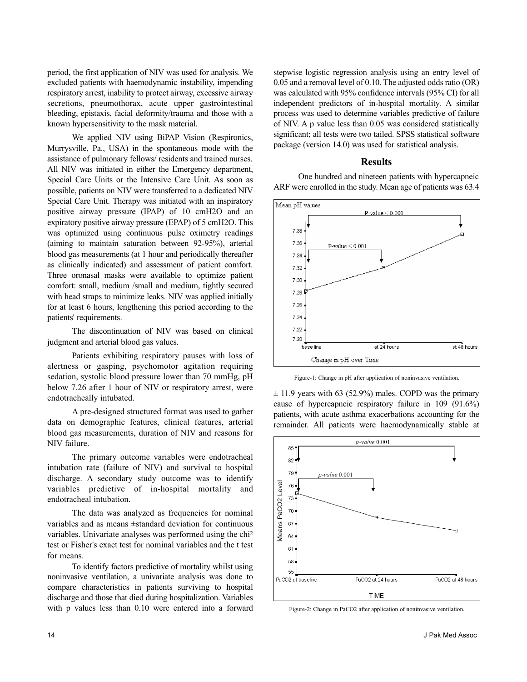period, the first application of NIV was used for analysis. We excluded patients with haemodynamic instability, impending respiratory arrest, inability to protect airway, excessive airway secretions, pneumothorax, acute upper gastrointestinal bleeding, epistaxis, facial deformity/trauma and those with a known hypersensitivity to the mask material.

We applied NIV using BiPAP Vision (Respironics, Murrysville, Pa., USA) in the spontaneous mode with the assistance of pulmonary fellows/ residents and trained nurses. All NIV was initiated in either the Emergency department, Special Care Units or the Intensive Care Unit. As soon as possible, patients on NIV were transferred to a dedicated NIV Special Care Unit. Therapy was initiated with an inspiratory positive airway pressure (IPAP) of 10 cmH2O and an expiratory positive airway pressure (EPAP) of 5 cmH2O. This was optimized using continuous pulse oximetry readings (aiming to maintain saturation between 92-95%), arterial blood gas measurements (at 1 hour and periodically thereafter as clinically indicated) and assessment of patient comfort. Three oronasal masks were available to optimize patient comfort: small, medium /small and medium, tightly secured with head straps to minimize leaks. NIV was applied initially for at least 6 hours, lengthening this period according to the patients' requirements.

The discontinuation of NIV was based on clinical judgment and arterial blood gas values.

Patients exhibiting respiratory pauses with loss of alertness or gasping, psychomotor agitation requiring sedation, systolic blood pressure lower than 70 mmHg, pH below 7.26 after 1 hour of NIV or respiratory arrest, were endotracheally intubated.

A pre-designed structured format was used to gather data on demographic features, clinical features, arterial blood gas measurements, duration of NIV and reasons for NIV failure.

The primary outcome variables were endotracheal intubation rate (failure of NIV) and survival to hospital discharge. A secondary study outcome was to identify variables predictive of in-hospital mortality and endotracheal intubation.

The data was analyzed as frequencies for nominal variables and as means ±standard deviation for continuous variables. Univariate analyses was performed using the chi<sup>2</sup> test or Fisher's exact test for nominal variables and the t test for means.

To identify factors predictive of mortality whilst using noninvasive ventilation, a univariate analysis was done to compare characteristics in patients surviving to hospital discharge and those that died during hospitalization. Variables with p values less than 0.10 were entered into a forward

stepwise logistic regression analysis using an entry level of 0.05 and a removal level of 0.10. The adjusted odds ratio (OR) was calculated with 95% confidence intervals (95% CI) for all independent predictors of in-hospital mortality. A similar process was used to determine variables predictive of failure of NIV. A p value less than 0.05 was considered statistically significant; all tests were two tailed. SPSS statistical software package (version 14.0) was used for statistical analysis.

#### **Results**

One hundred and nineteen patients with hypercapneic ARF were enrolled in the study. Mean age of patients was 63.4



Figure-1: Change in pH after application of noninvasive ventilation.

 $\pm$  11.9 years with 63 (52.9%) males. COPD was the primary cause of hypercapneic respiratory failure in 109 (91.6%) patients, with acute asthma exacerbations accounting for the remainder. All patients were haemodynamically stable at



Figure-2: Change in PaCO2 after application of noninvasive ventilation.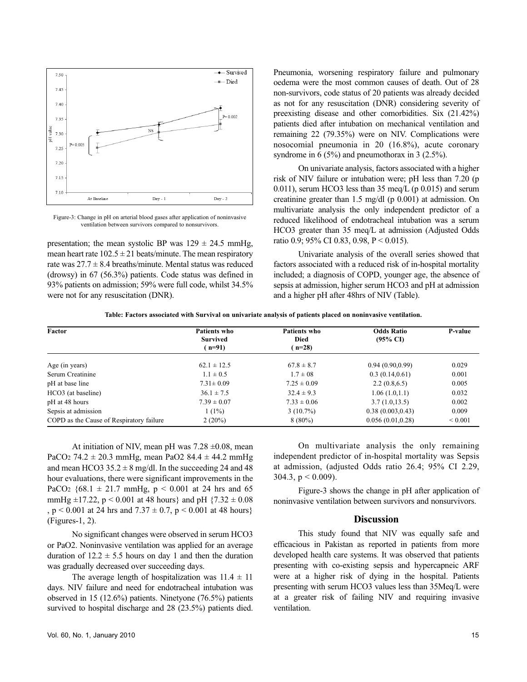

Figure-3: Change in pH on arterial blood gases after application of noninvasive ventilation between survivors compared to nonsurvivors.

presentation; the mean systolic BP was  $129 \pm 24.5$  mmHg, mean heart rate  $102.5 \pm 21$  beats/minute. The mean respiratory rate was  $27.7 \pm 8.4$  breaths/minute. Mental status was reduced (drowsy) in 67 (56.3%) patients. Code status was defined in 93% patients on admission; 59% were full code, whilst 34.5% were not for any resuscitation (DNR).

Pneumonia, worsening respiratory failure and pulmonary oedema were the most common causes of death. Out of 28 non-survivors, code status of 20 patients was already decided as not for any resuscitation (DNR) considering severity of preexisting disease and other comorbidities. Six (21.42%) patients died after intubation on mechanical ventilation and remaining 22 (79.35%) were on NIV. Complications were nosocomial pneumonia in 20 (16.8%), acute coronary syndrome in 6 (5%) and pneumothorax in 3 (2.5%).

On univariate analysis, factors associated with a higher risk of NIV failure or intubation were; pH less than 7.20 (p 0.011), serum HCO3 less than  $35 \text{ meg/L}$  (p 0.015) and serum creatinine greater than 1.5 mg/dl (p 0.001) at admission. On multivariate analysis the only independent predictor of a reduced likelihood of endotracheal intubation was a serum HCO3 greater than 35 meq/L at admission (Adjusted Odds ratio 0.9; 95% CI 0.83, 0.98, P < 0.015).

Univariate analysis of the overall series showed that factors associated with a reduced risk of in-hospital mortality included; a diagnosis of COPD, younger age, the absence of sepsis at admission, higher serum HCO3 and pH at admission and a higher pH after 48hrs of NIV (Table).

**Table: Factors associated with Survival on univariate analysis of patients placed on noninvasive ventilation.**

| Factor                                   | <b>Patients who</b><br><b>Survived</b><br>$n=91$ | Patients who<br><b>Died</b><br>$n=28$ | <b>Odds Ratio</b><br>$(95\% \text{ CI})$ | P-value      |                  |                 |                |                  |       |
|------------------------------------------|--------------------------------------------------|---------------------------------------|------------------------------------------|--------------|------------------|-----------------|----------------|------------------|-------|
|                                          |                                                  |                                       |                                          |              | Age (in years)   | $62.1 \pm 12.5$ | $67.8 \pm 8.7$ | 0.94(0.90, 0.99) | 0.029 |
|                                          |                                                  |                                       |                                          |              | Serum Creatinine | $1.1 \pm 0.5$   | $1.7 \pm 0.8$  | 0.3(0.14, 0.61)  | 0.001 |
| pH at base line                          | $7.31 \pm 0.09$                                  | $7.25 \pm 0.09$                       | 2.2(0.8, 6.5)                            | 0.005        |                  |                 |                |                  |       |
| HCO3 (at baseline)                       | $36.1 \pm 7.5$                                   | $32.4 \pm 9.3$                        | 1.06(1.0,1.1)                            | 0.032        |                  |                 |                |                  |       |
| pH at 48 hours                           | $7.39 \pm 0.07$                                  | $7.33 \pm 0.06$                       | 3.7(1.0, 13.5)                           | 0.002        |                  |                 |                |                  |       |
| Sepsis at admission                      | $1(1\%)$                                         | $3(10.7\%)$                           | 0.38(0.003, 0.43)                        | 0.009        |                  |                 |                |                  |       |
| COPD as the Cause of Respiratory failure | $2(20\%)$                                        | $8(80\%)$                             | 0.056(0.01, 0.28)                        | ${}_{0.001}$ |                  |                 |                |                  |       |

At initiation of NIV, mean pH was  $7.28 \pm 0.08$ , mean PaCO<sub>2</sub> 74.2  $\pm$  20.3 mmHg, mean PaO2 84.4  $\pm$  44.2 mmHg and mean HCO3  $35.2 \pm 8$  mg/dl. In the succeeding 24 and 48 hour evaluations, there were significant improvements in the PaCO<sub>2</sub>  $\{68.1 \pm 21.7 \text{ mmHg}, p \le 0.001 \text{ at } 24 \text{ hrs} \text{ and } 65$ mmHg  $\pm$ 17.22, p < 0.001 at 48 hours} and pH {7.32  $\pm$  0.08 ,  $p < 0.001$  at 24 hrs and  $7.37 \pm 0.7$ ,  $p < 0.001$  at 48 hours} (Figures-1, 2).

No significant changes were observed in serum HCO3 or PaO2. Noninvasive ventilation was applied for an average duration of  $12.2 \pm 5.5$  hours on day 1 and then the duration was gradually decreased over succeeding days.

The average length of hospitalization was  $11.4 \pm 11$ days. NIV failure and need for endotracheal intubation was observed in 15 (12.6%) patients. Ninetyone (76.5%) patients survived to hospital discharge and 28 (23.5%) patients died.

On multivariate analysis the only remaining independent predictor of in-hospital mortality was Sepsis at admission, (adjusted Odds ratio 26.4; 95% CI 2.29, 304.3,  $p < 0.009$ ).

Figure-3 shows the change in pH after application of noninvasive ventilation between survivors and nonsurvivors.

#### **Discussion**

This study found that NIV was equally safe and efficacious in Pakistan as reported in patients from more developed health care systems. It was observed that patients presenting with co-existing sepsis and hypercapneic ARF were at a higher risk of dying in the hospital. Patients presenting with serum HCO3 values less than 35Meq/L were at a greater risk of failing NIV and requiring invasive ventilation.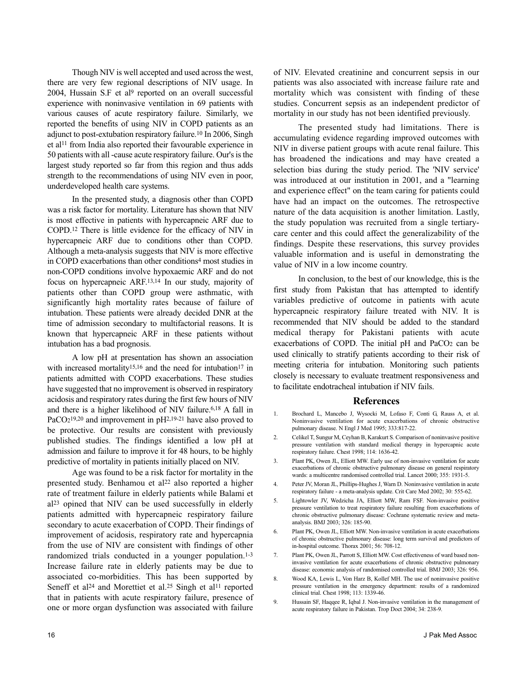Though NIV is well accepted and used across the west, there are very few regional descriptions of NIV usage. In 2004, Hussain S.F et al<sup>9</sup> reported on an overall successful experience with noninvasive ventilation in 69 patients with various causes of acute respiratory failure. Similarly, we reported the benefits of using NIV in COPD patients as an adjunct to post-extubation respiratory failure.<sup>10</sup> In 2006, Singh et al<sup>11</sup> from India also reported their favourable experience in 50 patients with all -cause acute respiratory failure. Our's is the largest study reported so far from this region and thus adds strength to the recommendations of using NIV even in poor, underdeveloped health care systems.

In the presented study, a diagnosis other than COPD was a risk factor for mortality. Literature has shown that NIV is most effective in patients with hypercapneic ARF due to COPD.<sup>12</sup> There is little evidence for the efficacy of NIV in hypercapneic ARF due to conditions other than COPD. Although a meta-analysis suggests that NIV is more effective in COPD exacerbations than other conditions<sup>4</sup> most studies in non-COPD conditions involve hypoxaemic ARF and do not focus on hypercapneic ARF.13,14 In our study, majority of patients other than COPD group were asthmatic, with significantly high mortality rates because of failure of intubation. These patients were already decided DNR at the time of admission secondary to multifactorial reasons. It is known that hypercapneic ARF in these patients without intubation has a bad prognosis.

A low pH at presentation has shown an association with increased mortality<sup>15,16</sup> and the need for intubation<sup>17</sup> in patients admitted with COPD exacerbations. These studies have suggested that no improvement is observed in respiratory acidosis and respiratory rates during the first few hours of NIV and there is a higher likelihood of NIV failure.6,18 A fall in PaCO<sub>2</sub><sup>19,20</sup> and improvement in pH<sup>2,19-21</sup> have also proved to be protective. Our results are consistent with previously published studies. The findings identified a low pH at admission and failure to improve it for 48 hours, to be highly predictive of mortality in patients initially placed on NIV.

Age was found to be a risk factor for mortality in the presented study. Benhamou et al<sup>22</sup> also reported a higher rate of treatment failure in elderly patients while Balami et al<sup>23</sup> opined that NIV can be used successfully in elderly patients admitted with hypercapneic respiratory failure secondary to acute exacerbation of COPD. Their findings of improvement of acidosis, respiratory rate and hypercapnia from the use of NIV are consistent with findings of other randomized trials conducted in a younger population.<sup>1-3</sup> Increase failure rate in elderly patients may be due to associated co-morbidities. This has been supported by Seneff et al<sup>24</sup> and Morettiet et al.<sup>25</sup> Singh et al<sup>11</sup> reported that in patients with acute respiratory failure, presence of one or more organ dysfunction was associated with failure

of NIV. Elevated creatinine and concurrent sepsis in our patients was also associated with increase failure rate and mortality which was consistent with finding of these studies. Concurrent sepsis as an independent predictor of mortality in our study has not been identified previously.

The presented study had limitations. There is accumulating evidence regarding improved outcomes with NIV in diverse patient groups with acute renal failure. This has broadened the indications and may have created a selection bias during the study period. The 'NIV service' was introduced at our institution in 2001, and a "learning and experience effect" on the team caring for patients could have had an impact on the outcomes. The retrospective nature of the data acquisition is another limitation. Lastly, the study population was recruited from a single tertiarycare center and this could affect the generalizability of the findings. Despite these reservations, this survey provides valuable information and is useful in demonstrating the value of NIV in a low income country.

In conclusion, to the best of our knowledge, this is the first study from Pakistan that has attempted to identify variables predictive of outcome in patients with acute hypercapneic respiratory failure treated with NIV. It is recommended that NIV should be added to the standard medical therapy for Pakistani patients with acute exacerbations of COPD. The initial pH and PaCO<sup>2</sup> can be used clinically to stratify patients according to their risk of meeting criteria for intubation. Monitoring such patients closely is necessary to evaluate treatment responsiveness and to facilitate endotracheal intubation if NIV fails.

#### **References**

- 1. Brochard L, Mancebo J, Wysocki M, Lofaso F, Conti G, Rauss A, et al. Noninvasive ventilation for acute exacerbations of chronic obstructive pulmonary disease. N Engl J Med 1995; 333:817-22.
- 2. Celikel T, Sungur M, Ceyhan B, Karakurt S. Comparison of noninvasive positive pressure ventilation with standard medical therapy in hypercapnic acute respiratory failure. Chest 1998; 114: 1636-42.
- 3. Plant PK, Owen JL, Elliott MW. Early use of non-invasive ventilation for acute exacerbations of chronic obstructive pulmonary disease on general respiratory wards: a multicentre randomised controlled trial. Lancet 2000; 355: 1931-5.
- 4. Peter JV, Moran JL, Phillips-Hughes J, Warn D. Noninvasive ventilation in acute respiratory failure - a meta-analysis update. Crit Care Med 2002; 30: 555-62.
- 5. Lightowler JV, Wedzicha JA, Elliott MW, Ram FSF. Non-invasive positive pressure ventilation to treat respiratory failure resulting from exacerbations of chronic obstructive pulmonary disease: Cochrane systematic review and metaanalysis. BMJ 2003; 326: 185-90.
- 6. Plant PK, Owen JL, Elliott MW. Non-invasive ventilation in acute exacerbations of chronic obstructive pulmonary disease: long term survival and predictors of in-hospital outcome. Thorax 2001; 56: 708-12.
- 7. Plant PK, Owen JL, Parrott S, Elliott MW. Cost effectiveness of ward based noninvasive ventilation for acute exacerbations of chronic obstructive pulmonary disease: economic analysis of randomised controlled trial. BMJ 2003; 326: 956.
- 8. Wood KA, Lewis L, Von Harz B, Kollef MH. The use of noninvasive positive pressure ventilation in the emergency department: results of a randomized clinical trial. Chest 1998; 113: 1339-46.
- 9. Hussain SF, Haqqee R, Iqbal J. Non-invasive ventilation in the management of acute respiratory failure in Pakistan. Trop Doct 2004; 34: 238-9.